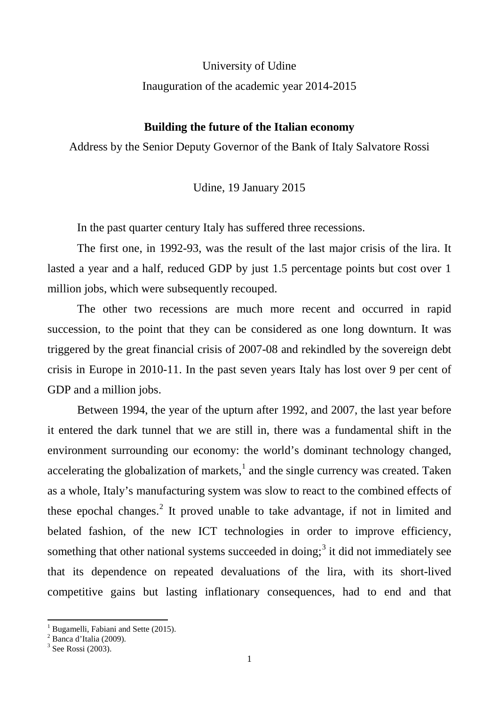University of Udine

Inauguration of the academic year 2014-2015

## **Building the future of the Italian economy**

Address by the Senior Deputy Governor of the Bank of Italy Salvatore Rossi

Udine, 19 January 2015

In the past quarter century Italy has suffered three recessions.

The first one, in 1992-93, was the result of the last major crisis of the lira. It lasted a year and a half, reduced GDP by just 1.5 percentage points but cost over 1 million jobs, which were subsequently recouped.

The other two recessions are much more recent and occurred in rapid succession, to the point that they can be considered as one long downturn. It was triggered by the great financial crisis of 2007-08 and rekindled by the sovereign debt crisis in Europe in 2010-11. In the past seven years Italy has lost over 9 per cent of GDP and a million jobs.

Between 1994, the year of the upturn after 1992, and 2007, the last year before it entered the dark tunnel that we are still in, there was a fundamental shift in the environment surrounding our economy: the world's dominant technology changed, accelerating the globalization of markets, $<sup>1</sup>$  $<sup>1</sup>$  $<sup>1</sup>$  and the single currency was created. Taken</sup> as a whole, Italy's manufacturing system was slow to react to the combined effects of these epochal changes.<sup>[2](#page-0-1)</sup> It proved unable to take advantage, if not in limited and belated fashion, of the new ICT technologies in order to improve efficiency, something that other national systems succeeded in doing;<sup>[3](#page-0-2)</sup> it did not immediately see that its dependence on repeated devaluations of the lira, with its short-lived competitive gains but lasting inflationary consequences, had to end and that

<span id="page-0-0"></span><sup>&</sup>lt;sup>1</sup> Bugamelli, Fabiani and Sette (2015).<br><sup>2</sup> Banca d'Italia (2009).

<span id="page-0-2"></span><span id="page-0-1"></span> $3$  See Rossi (2003).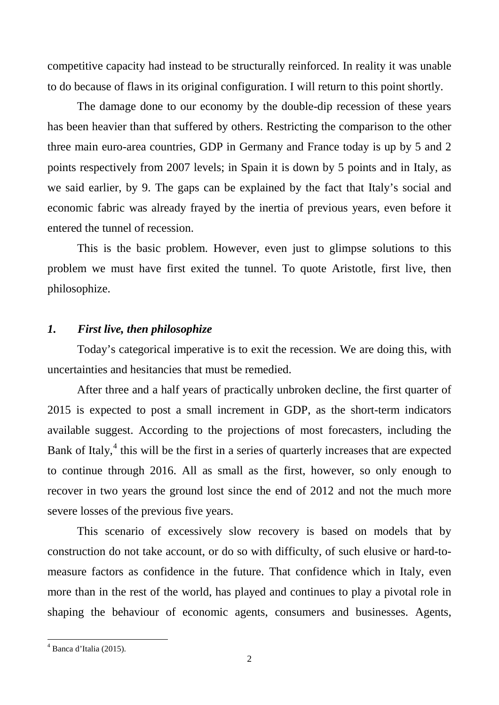competitive capacity had instead to be structurally reinforced. In reality it was unable to do because of flaws in its original configuration. I will return to this point shortly.

The damage done to our economy by the double-dip recession of these years has been heavier than that suffered by others. Restricting the comparison to the other three main euro-area countries, GDP in Germany and France today is up by 5 and 2 points respectively from 2007 levels; in Spain it is down by 5 points and in Italy, as we said earlier, by 9. The gaps can be explained by the fact that Italy's social and economic fabric was already frayed by the inertia of previous years, even before it entered the tunnel of recession.

This is the basic problem. However, even just to glimpse solutions to this problem we must have first exited the tunnel. To quote Aristotle, first live, then philosophize.

## *1. First live, then philosophize*

Today's categorical imperative is to exit the recession. We are doing this, with uncertainties and hesitancies that must be remedied.

After three and a half years of practically unbroken decline, the first quarter of 2015 is expected to post a small increment in GDP, as the short-term indicators available suggest. According to the projections of most forecasters, including the Bank of Italy,<sup>[4](#page-1-0)</sup> this will be the first in a series of quarterly increases that are expected to continue through 2016. All as small as the first, however, so only enough to recover in two years the ground lost since the end of 2012 and not the much more severe losses of the previous five years.

This scenario of excessively slow recovery is based on models that by construction do not take account, or do so with difficulty, of such elusive or hard-tomeasure factors as confidence in the future. That confidence which in Italy, even more than in the rest of the world, has played and continues to play a pivotal role in shaping the behaviour of economic agents, consumers and businesses. Agents,

<span id="page-1-0"></span> $<sup>4</sup>$  Banca d'Italia (2015).</sup>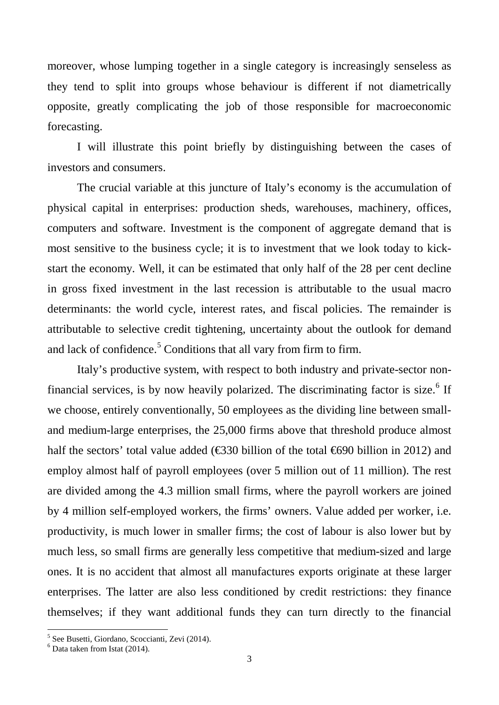moreover, whose lumping together in a single category is increasingly senseless as they tend to split into groups whose behaviour is different if not diametrically opposite, greatly complicating the job of those responsible for macroeconomic forecasting.

I will illustrate this point briefly by distinguishing between the cases of investors and consumers.

The crucial variable at this juncture of Italy's economy is the accumulation of physical capital in enterprises: production sheds, warehouses, machinery, offices, computers and software. Investment is the component of aggregate demand that is most sensitive to the business cycle; it is to investment that we look today to kickstart the economy. Well, it can be estimated that only half of the 28 per cent decline in gross fixed investment in the last recession is attributable to the usual macro determinants: the world cycle, interest rates, and fiscal policies. The remainder is attributable to selective credit tightening, uncertainty about the outlook for demand and lack of confidence.<sup>[5](#page-2-0)</sup> Conditions that all vary from firm to firm.

Italy's productive system, with respect to both industry and private-sector non-financial services, is by now heavily polarized. The discriminating factor is size.<sup>[6](#page-2-1)</sup> If we choose, entirely conventionally, 50 employees as the dividing line between smalland medium-large enterprises, the 25,000 firms above that threshold produce almost half the sectors' total value added ( $\text{\textsterling}30$  billion of the total  $\text{\textsterling}690$  billion in 2012) and employ almost half of payroll employees (over 5 million out of 11 million). The rest are divided among the 4.3 million small firms, where the payroll workers are joined by 4 million self-employed workers, the firms' owners. Value added per worker, i.e. productivity, is much lower in smaller firms; the cost of labour is also lower but by much less, so small firms are generally less competitive that medium-sized and large ones. It is no accident that almost all manufactures exports originate at these larger enterprises. The latter are also less conditioned by credit restrictions: they finance themselves; if they want additional funds they can turn directly to the financial

<span id="page-2-0"></span><sup>&</sup>lt;sup>5</sup> See Busetti, Giordano, Scoccianti, Zevi (2014).

<span id="page-2-1"></span> $6$  Data taken from Istat (2014).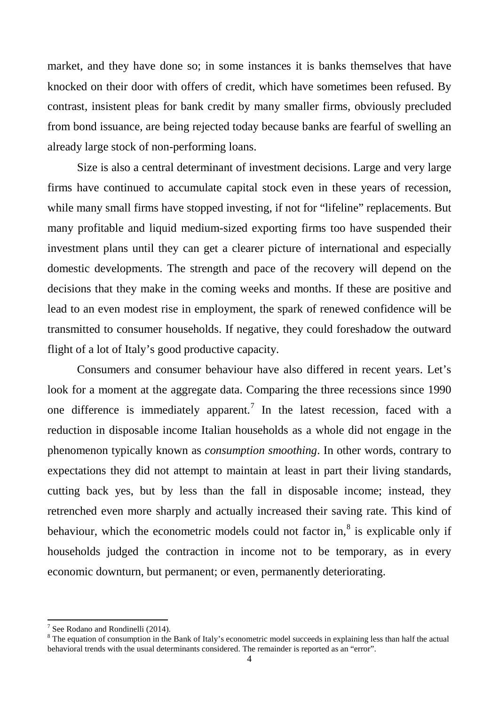market, and they have done so; in some instances it is banks themselves that have knocked on their door with offers of credit, which have sometimes been refused. By contrast, insistent pleas for bank credit by many smaller firms, obviously precluded from bond issuance, are being rejected today because banks are fearful of swelling an already large stock of non-performing loans.

Size is also a central determinant of investment decisions. Large and very large firms have continued to accumulate capital stock even in these years of recession, while many small firms have stopped investing, if not for "lifeline" replacements. But many profitable and liquid medium-sized exporting firms too have suspended their investment plans until they can get a clearer picture of international and especially domestic developments. The strength and pace of the recovery will depend on the decisions that they make in the coming weeks and months. If these are positive and lead to an even modest rise in employment, the spark of renewed confidence will be transmitted to consumer households. If negative, they could foreshadow the outward flight of a lot of Italy's good productive capacity.

Consumers and consumer behaviour have also differed in recent years. Let's look for a moment at the aggregate data. Comparing the three recessions since 1990 one difference is immediately apparent. [7](#page-3-0) In the latest recession, faced with a reduction in disposable income Italian households as a whole did not engage in the phenomenon typically known as *consumption smoothing*. In other words, contrary to expectations they did not attempt to maintain at least in part their living standards, cutting back yes, but by less than the fall in disposable income; instead, they retrenched even more sharply and actually increased their saving rate. This kind of behaviour, which the econometric models could not factor in,<sup>[8](#page-3-1)</sup> is explicable only if households judged the contraction in income not to be temporary, as in every economic downturn, but permanent; or even, permanently deteriorating.

<span id="page-3-1"></span><span id="page-3-0"></span><sup>&</sup>lt;sup>7</sup> See Rodano and Rondinelli (2014).<br><sup>8</sup> The equation of consumption in the Bank of Italy's econometric model succeeds in explaining less than half the actual behavioral trends with the usual determinants considered. The remainder is reported as an "error".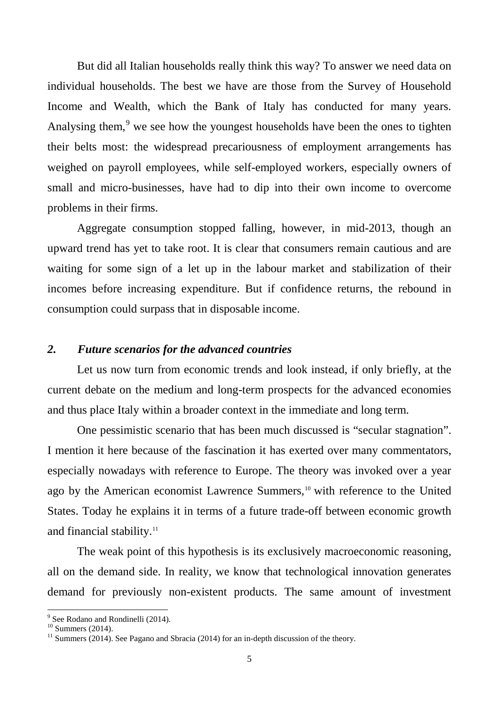But did all Italian households really think this way? To answer we need data on individual households. The best we have are those from the Survey of Household Income and Wealth, which the Bank of Italy has conducted for many years. Analysing them,<sup>[9](#page-4-0)</sup> we see how the youngest households have been the ones to tighten their belts most: the widespread precariousness of employment arrangements has weighed on payroll employees, while self-employed workers, especially owners of small and micro-businesses, have had to dip into their own income to overcome problems in their firms.

Aggregate consumption stopped falling, however, in mid-2013, though an upward trend has yet to take root. It is clear that consumers remain cautious and are waiting for some sign of a let up in the labour market and stabilization of their incomes before increasing expenditure. But if confidence returns, the rebound in consumption could surpass that in disposable income.

## *2. Future scenarios for the advanced countries*

Let us now turn from economic trends and look instead, if only briefly, at the current debate on the medium and long-term prospects for the advanced economies and thus place Italy within a broader context in the immediate and long term.

One pessimistic scenario that has been much discussed is "secular stagnation". I mention it here because of the fascination it has exerted over many commentators, especially nowadays with reference to Europe. The theory was invoked over a year ago by the American economist Lawrence Summers, [10](#page-4-1) with reference to the United States. Today he explains it in terms of a future trade-off between economic growth and financial stability.<sup>[11](#page-4-2)</sup>

The weak point of this hypothesis is its exclusively macroeconomic reasoning, all on the demand side. In reality, we know that technological innovation generates demand for previously non-existent products. The same amount of investment

<span id="page-4-2"></span><span id="page-4-1"></span>

<span id="page-4-0"></span><sup>&</sup>lt;sup>9</sup> See Rodano and Rondinelli (2014).<br><sup>10</sup> Summers (2014).<br><sup>11</sup> Summers (2014). See Pagano and Sbracia (2014) for an in-depth discussion of the theory.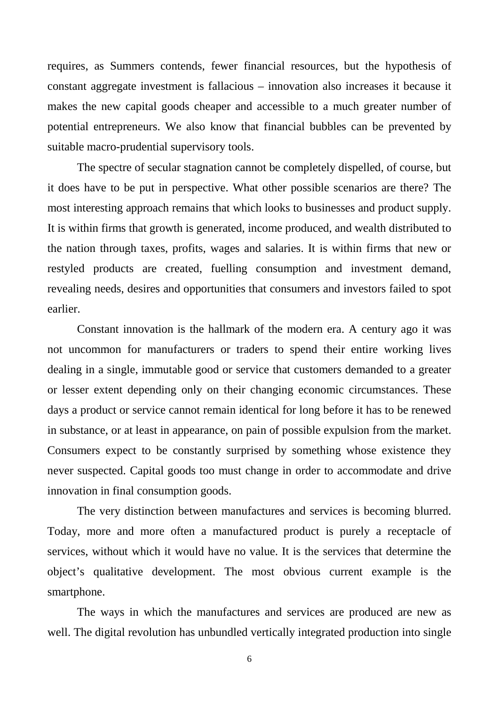requires, as Summers contends, fewer financial resources, but the hypothesis of constant aggregate investment is fallacious – innovation also increases it because it makes the new capital goods cheaper and accessible to a much greater number of potential entrepreneurs. We also know that financial bubbles can be prevented by suitable macro-prudential supervisory tools.

The spectre of secular stagnation cannot be completely dispelled, of course, but it does have to be put in perspective. What other possible scenarios are there? The most interesting approach remains that which looks to businesses and product supply. It is within firms that growth is generated, income produced, and wealth distributed to the nation through taxes, profits, wages and salaries. It is within firms that new or restyled products are created, fuelling consumption and investment demand, revealing needs, desires and opportunities that consumers and investors failed to spot earlier.

Constant innovation is the hallmark of the modern era. A century ago it was not uncommon for manufacturers or traders to spend their entire working lives dealing in a single, immutable good or service that customers demanded to a greater or lesser extent depending only on their changing economic circumstances. These days a product or service cannot remain identical for long before it has to be renewed in substance, or at least in appearance, on pain of possible expulsion from the market. Consumers expect to be constantly surprised by something whose existence they never suspected. Capital goods too must change in order to accommodate and drive innovation in final consumption goods.

The very distinction between manufactures and services is becoming blurred. Today, more and more often a manufactured product is purely a receptacle of services, without which it would have no value. It is the services that determine the object's qualitative development. The most obvious current example is the smartphone.

The ways in which the manufactures and services are produced are new as well. The digital revolution has unbundled vertically integrated production into single

6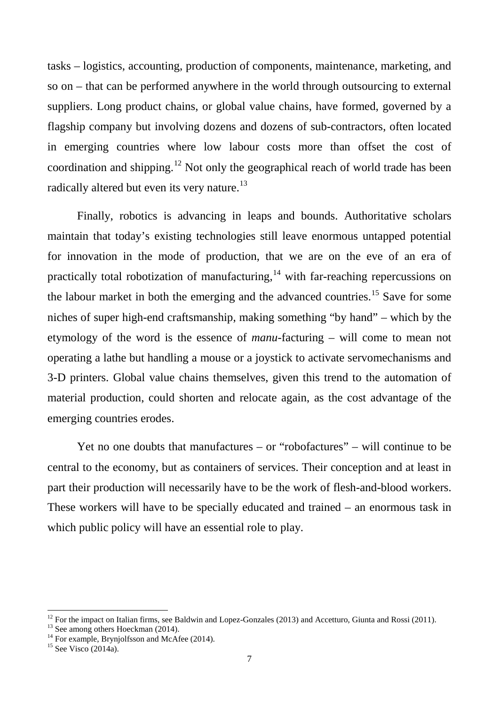tasks – logistics, accounting, production of components, maintenance, marketing, and so on – that can be performed anywhere in the world through outsourcing to external suppliers. Long product chains, or global value chains, have formed, governed by a flagship company but involving dozens and dozens of sub-contractors, often located in emerging countries where low labour costs more than offset the cost of coordination and shipping.[12](#page-6-0) Not only the geographical reach of world trade has been radically altered but even its very nature.<sup>[13](#page-6-1)</sup>

Finally, robotics is advancing in leaps and bounds. Authoritative scholars maintain that today's existing technologies still leave enormous untapped potential for innovation in the mode of production, that we are on the eve of an era of practically total robotization of manufacturing, $14$  with far-reaching repercussions on the labour market in both the emerging and the advanced countries.<sup>[15](#page-6-3)</sup> Save for some niches of super high-end craftsmanship, making something "by hand" – which by the etymology of the word is the essence of *manu*-facturing – will come to mean not operating a lathe but handling a mouse or a joystick to activate servomechanisms and 3-D printers. Global value chains themselves, given this trend to the automation of material production, could shorten and relocate again, as the cost advantage of the emerging countries erodes.

Yet no one doubts that manufactures – or "robofactures" – will continue to be central to the economy, but as containers of services. Their conception and at least in part their production will necessarily have to be the work of flesh-and-blood workers. These workers will have to be specially educated and trained – an enormous task in which public policy will have an essential role to play.

<span id="page-6-1"></span><span id="page-6-0"></span><sup>&</sup>lt;sup>12</sup> For the impact on Italian firms, see Baldwin and Lopez-Gonzales (2013) and Accetturo, Giunta and Rossi (2011). <sup>13</sup> See among others Hoeckman (2014). <sup>14</sup> For example, Brynjolfsson and McAfee (2014). <sup>15</sup> See Visco (

<span id="page-6-3"></span><span id="page-6-2"></span>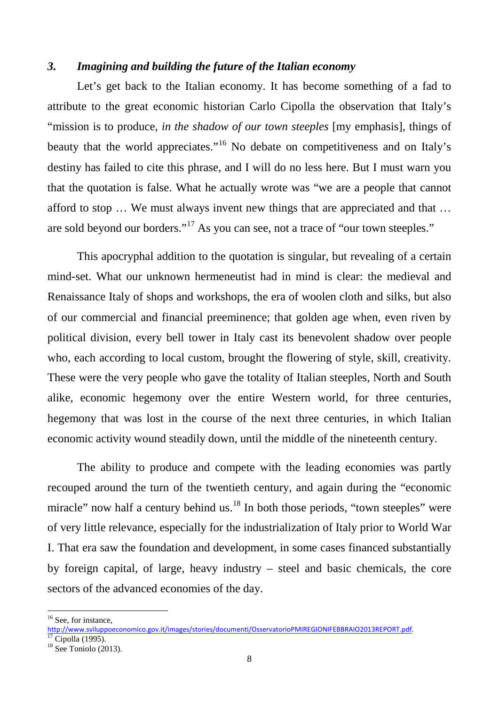## *3. Imagining and building the future of the Italian economy*

Let's get back to the Italian economy. It has become something of a fad to attribute to the great economic historian Carlo Cipolla the observation that Italy's "mission is to produce, *in the shadow of our town steeples* [my emphasis], things of beauty that the world appreciates."<sup>[16](#page-7-0)</sup> No debate on competitiveness and on Italy's destiny has failed to cite this phrase, and I will do no less here. But I must warn you that the quotation is false. What he actually wrote was "we are a people that cannot afford to stop … We must always invent new things that are appreciated and that … are sold beyond our borders."<sup>[17](#page-7-1)</sup> As you can see, not a trace of "our town steeples."

This apocryphal addition to the quotation is singular, but revealing of a certain mind-set. What our unknown hermeneutist had in mind is clear: the medieval and Renaissance Italy of shops and workshops, the era of woolen cloth and silks, but also of our commercial and financial preeminence; that golden age when, even riven by political division, every bell tower in Italy cast its benevolent shadow over people who, each according to local custom, brought the flowering of style, skill, creativity. These were the very people who gave the totality of Italian steeples, North and South alike, economic hegemony over the entire Western world, for three centuries, hegemony that was lost in the course of the next three centuries, in which Italian economic activity wound steadily down, until the middle of the nineteenth century.

The ability to produce and compete with the leading economies was partly recouped around the turn of the twentieth century, and again during the "economic miracle" now half a century behind us. $^{18}$  $^{18}$  $^{18}$  In both those periods, "town steeples" were of very little relevance, especially for the industrialization of Italy prior to World War I. That era saw the foundation and development, in some cases financed substantially by foreign capital, of large, heavy industry – steel and basic chemicals, the core sectors of the advanced economies of the day.

<sup>&</sup>lt;sup>16</sup> See, for instance,

<span id="page-7-0"></span>[http://www.sviluppoeconomico.gov.it/images/stories/documenti/OsservatorioPMIREGIONIFEBBRAIO2013REPORT.pdf.](http://www.sviluppoeconomico.gov.it/images/stories/documenti/OsservatorioPMIREGIONIFEBBRAIO2013REPORT.pdf)<br><sup>17</sup> Cipolla (1995).<br><sup>18</sup> See Toniolo (2013).

<span id="page-7-1"></span>

<span id="page-7-2"></span>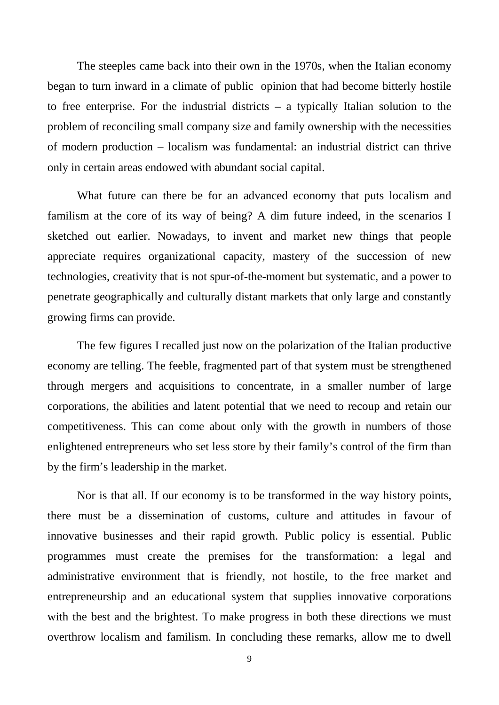The steeples came back into their own in the 1970s, when the Italian economy began to turn inward in a climate of public opinion that had become bitterly hostile to free enterprise. For the industrial districts – a typically Italian solution to the problem of reconciling small company size and family ownership with the necessities of modern production – localism was fundamental: an industrial district can thrive only in certain areas endowed with abundant social capital.

What future can there be for an advanced economy that puts localism and familism at the core of its way of being? A dim future indeed, in the scenarios I sketched out earlier. Nowadays, to invent and market new things that people appreciate requires organizational capacity, mastery of the succession of new technologies, creativity that is not spur-of-the-moment but systematic, and a power to penetrate geographically and culturally distant markets that only large and constantly growing firms can provide.

The few figures I recalled just now on the polarization of the Italian productive economy are telling. The feeble, fragmented part of that system must be strengthened through mergers and acquisitions to concentrate, in a smaller number of large corporations, the abilities and latent potential that we need to recoup and retain our competitiveness. This can come about only with the growth in numbers of those enlightened entrepreneurs who set less store by their family's control of the firm than by the firm's leadership in the market.

Nor is that all. If our economy is to be transformed in the way history points, there must be a dissemination of customs, culture and attitudes in favour of innovative businesses and their rapid growth. Public policy is essential. Public programmes must create the premises for the transformation: a legal and administrative environment that is friendly, not hostile, to the free market and entrepreneurship and an educational system that supplies innovative corporations with the best and the brightest. To make progress in both these directions we must overthrow localism and familism. In concluding these remarks, allow me to dwell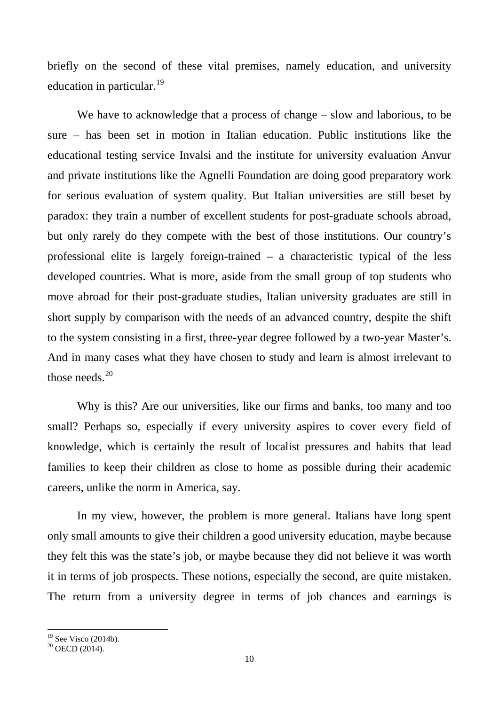briefly on the second of these vital premises, namely education, and university education in particular.<sup>[19](#page-9-0)</sup>

We have to acknowledge that a process of change – slow and laborious, to be sure – has been set in motion in Italian education. Public institutions like the educational testing service Invalsi and the institute for university evaluation Anvur and private institutions like the Agnelli Foundation are doing good preparatory work for serious evaluation of system quality. But Italian universities are still beset by paradox: they train a number of excellent students for post-graduate schools abroad, but only rarely do they compete with the best of those institutions. Our country's professional elite is largely foreign-trained – a characteristic typical of the less developed countries. What is more, aside from the small group of top students who move abroad for their post-graduate studies, Italian university graduates are still in short supply by comparison with the needs of an advanced country, despite the shift to the system consisting in a first, three-year degree followed by a two-year Master's. And in many cases what they have chosen to study and learn is almost irrelevant to those needs. $20$ 

Why is this? Are our universities, like our firms and banks, too many and too small? Perhaps so, especially if every university aspires to cover every field of knowledge, which is certainly the result of localist pressures and habits that lead families to keep their children as close to home as possible during their academic careers, unlike the norm in America, say.

In my view, however, the problem is more general. Italians have long spent only small amounts to give their children a good university education, maybe because they felt this was the state's job, or maybe because they did not believe it was worth it in terms of job prospects. These notions, especially the second, are quite mistaken. The return from a university degree in terms of job chances and earnings is

<span id="page-9-0"></span><sup>&</sup>lt;sup>19</sup> See Visco (2014b).<br><sup>20</sup> OECD (2014).

<span id="page-9-1"></span>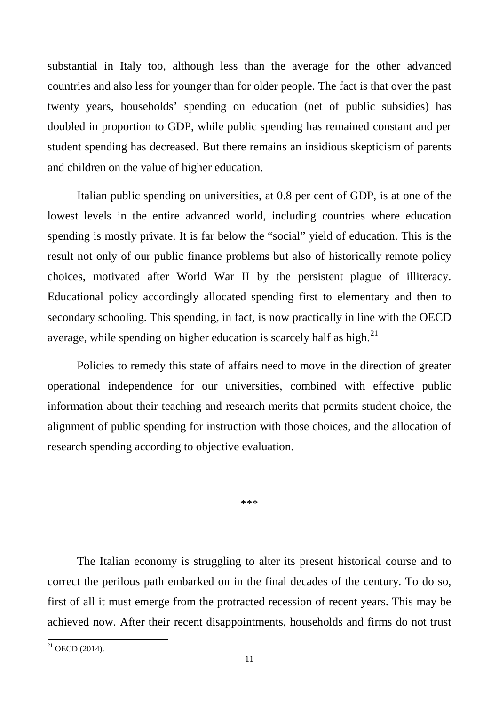substantial in Italy too, although less than the average for the other advanced countries and also less for younger than for older people. The fact is that over the past twenty years, households' spending on education (net of public subsidies) has doubled in proportion to GDP, while public spending has remained constant and per student spending has decreased. But there remains an insidious skepticism of parents and children on the value of higher education.

Italian public spending on universities, at 0.8 per cent of GDP, is at one of the lowest levels in the entire advanced world, including countries where education spending is mostly private. It is far below the "social" yield of education. This is the result not only of our public finance problems but also of historically remote policy choices, motivated after World War II by the persistent plague of illiteracy. Educational policy accordingly allocated spending first to elementary and then to secondary schooling. This spending, in fact, is now practically in line with the OECD average, while spending on higher education is scarcely half as high.<sup>[21](#page-10-0)</sup>

Policies to remedy this state of affairs need to move in the direction of greater operational independence for our universities, combined with effective public information about their teaching and research merits that permits student choice, the alignment of public spending for instruction with those choices, and the allocation of research spending according to objective evaluation.

\*\*\*

The Italian economy is struggling to alter its present historical course and to correct the perilous path embarked on in the final decades of the century. To do so, first of all it must emerge from the protracted recession of recent years. This may be achieved now. After their recent disappointments, households and firms do not trust

<span id="page-10-0"></span> $21$  OECD (2014).  $\overline{a}$